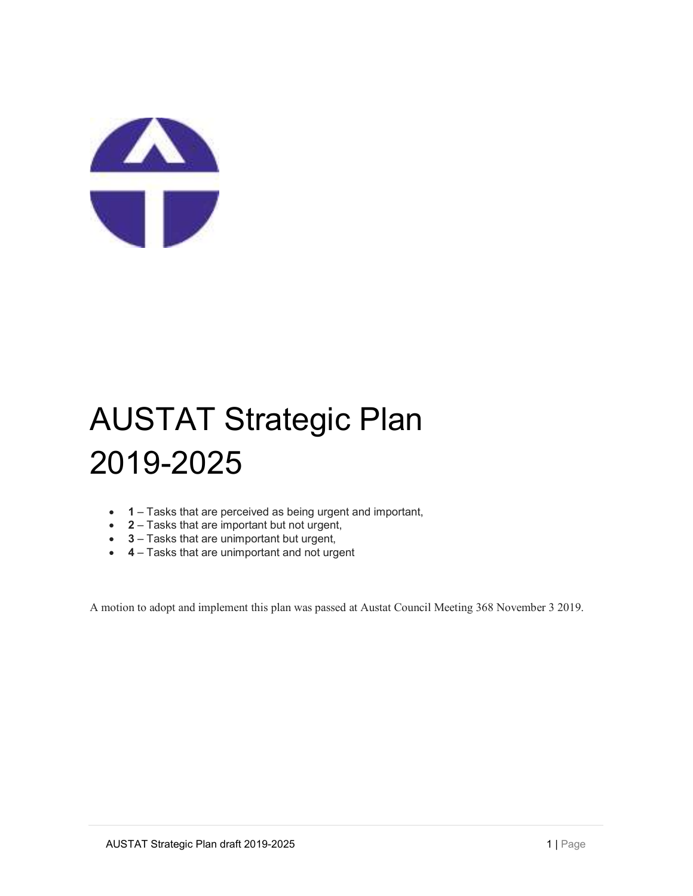

## AUSTAT Strategic Plan 2019-2025

- 1 Tasks that are perceived as being urgent and important,
- 2 Tasks that are important but not urgent,
- 3 Tasks that are unimportant but urgent,
- 4 Tasks that are unimportant and not urgent

A motion to adopt and implement this plan was passed at Austat Council Meeting 368 November 3 2019.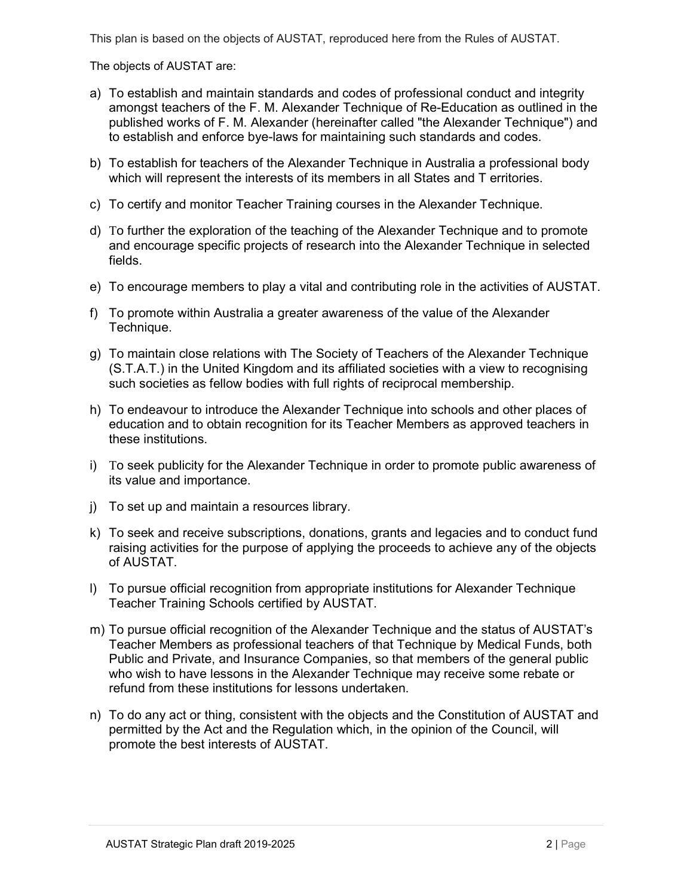This plan is based on the objects of AUSTAT, reproduced here from the Rules of AUSTAT.

The objects of AUSTAT are:

- a) To establish and maintain standards and codes of professional conduct and integrity amongst teachers of the F. M. Alexander Technique of Re-Education as outlined in the published works of F. M. Alexander (hereinafter called "the Alexander Technique") and to establish and enforce bye-laws for maintaining such standards and codes.
- b) To establish for teachers of the Alexander Technique in Australia a professional body which will represent the interests of its members in all States and T erritories.
- c) To certify and monitor Teacher Training courses in the Alexander Technique.
- d) To further the exploration of the teaching of the Alexander Technique and to promote and encourage specific projects of research into the Alexander Technique in selected fields.
- e) To encourage members to play a vital and contributing role in the activities of AUSTAT.
- f) To promote within Australia a greater awareness of the value of the Alexander Technique.
- g) To maintain close relations with The Society of Teachers of the Alexander Technique (S.T.A.T.) in the United Kingdom and its affiliated societies with a view to recognising such societies as fellow bodies with full rights of reciprocal membership.
- h) To endeavour to introduce the Alexander Technique into schools and other places of education and to obtain recognition for its Teacher Members as approved teachers in these institutions.
- i) To seek publicity for the Alexander Technique in order to promote public awareness of its value and importance.
- j) To set up and maintain a resources library.
- k) To seek and receive subscriptions, donations, grants and legacies and to conduct fund raising activities for the purpose of applying the proceeds to achieve any of the objects of AUSTAT.
- l) To pursue official recognition from appropriate institutions for Alexander Technique Teacher Training Schools certified by AUSTAT.
- m) To pursue official recognition of the Alexander Technique and the status of AUSTAT's Teacher Members as professional teachers of that Technique by Medical Funds, both Public and Private, and Insurance Companies, so that members of the general public who wish to have lessons in the Alexander Technique may receive some rebate or refund from these institutions for lessons undertaken.
- n) To do any act or thing, consistent with the objects and the Constitution of AUSTAT and permitted by the Act and the Regulation which, in the opinion of the Council, will promote the best interests of AUSTAT.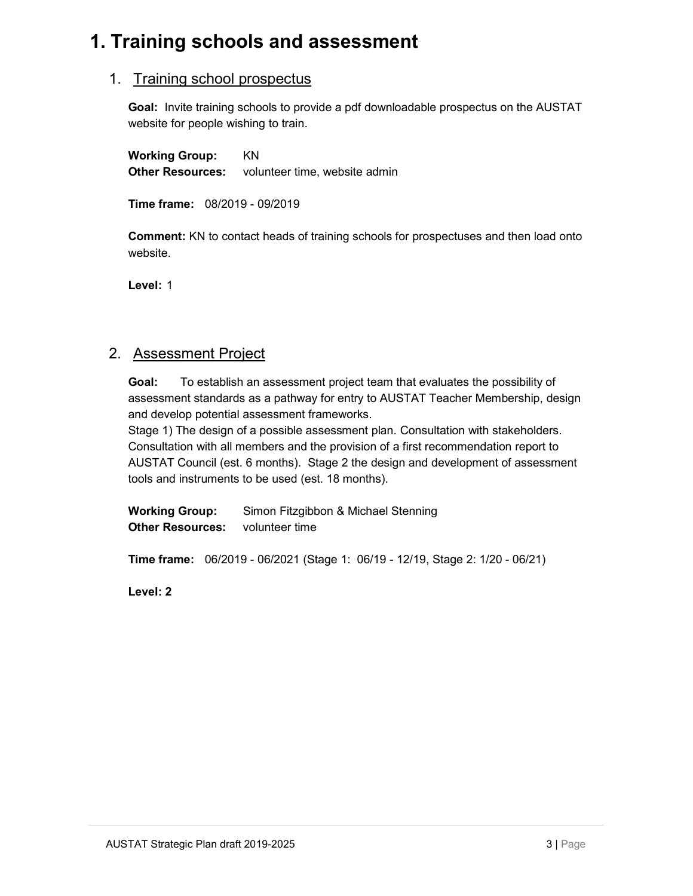## 1. Training schools and assessment

#### 1. Training school prospectus

Goal: Invite training schools to provide a pdf downloadable prospectus on the AUSTAT website for people wishing to train.

Working Group: KN Other Resources: volunteer time, website admin<br>Time frame: 08/2019 - 09/2019

Comment: KN to contact heads of training schools for prospectuses and then load onto website.

Level: 1

#### 2. Assessment Project

Goal: To establish an assessment project team that evaluates the possibility of assessment standards as a pathway for entry to AUSTAT Teacher Membership, design and develop potential assessment frameworks.

Stage 1) The design of a possible assessment plan. Consultation with stakeholders. Consultation with all members and the provision of a first recommendation report to AUSTAT Council (est. 6 months). Stage 2 the design and development of assessment tools and instruments to be used (est. 18 months).

Working Group: Simon Fitzgibbon & Michael Stenning **Other Resources:** volunteer time

Time frame: 06/2019 - 06/2021 (Stage 1: 06/19 - 12/19, Stage 2: 1/20 - 06/21)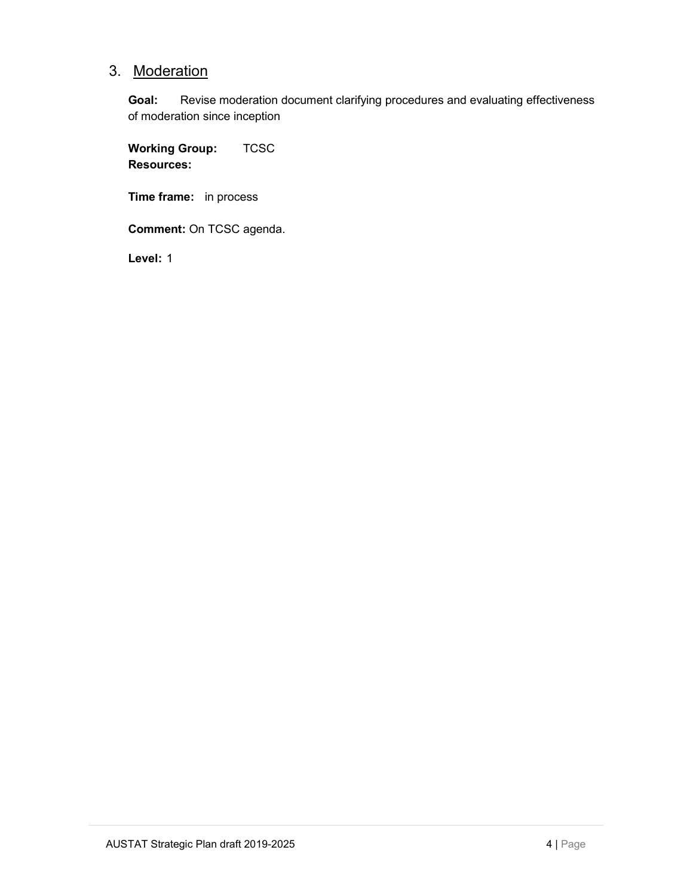### 3. Moderation

Goal: Revise moderation document clarifying procedures and evaluating effectiveness of moderation since inception

Working Group: TCSC Resources:

Time frame: in process

Comment: On TCSC agenda.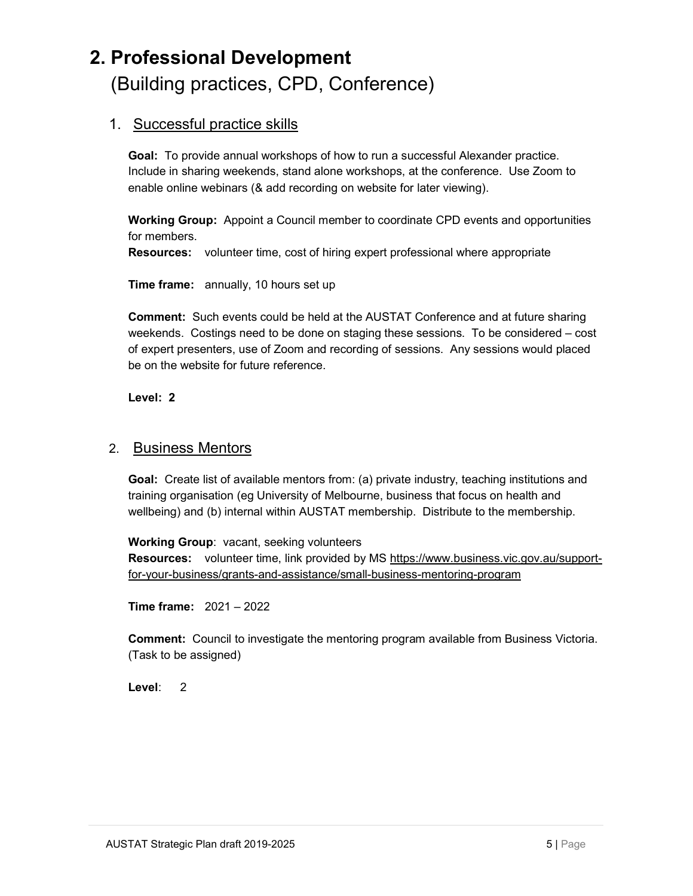# 2. Professional Development (Building practices, CPD, Conference)

#### 1. Successful practice skills

Goal: To provide annual workshops of how to run a successful Alexander practice. Include in sharing weekends, stand alone workshops, at the conference. Use Zoom to enable online webinars (& add recording on website for later viewing).

Working Group: Appoint a Council member to coordinate CPD events and opportunities for members.

Resources: volunteer time, cost of hiring expert professional where appropriate

Time frame: annually, 10 hours set up

Comment: Such events could be held at the AUSTAT Conference and at future sharing weekends. Costings need to be done on staging these sessions. To be considered – cost of expert presenters, use of Zoom and recording of sessions. Any sessions would placed be on the website for future reference.

Level: 2

#### 2. Business Mentors

Goal: Create list of available mentors from: (a) private industry, teaching institutions and training organisation (eg University of Melbourne, business that focus on health and wellbeing) and (b) internal within AUSTAT membership. Distribute to the membership.

Working Group: vacant, seeking volunteers Resources: volunteer time, link provided by MS https://www.business.vic.gov.au/supportfor-your-business/grants-and-assistance/small-business-mentoring-program

Time frame: 2021 – 2022

Comment: Council to investigate the mentoring program available from Business Victoria. (Task to be assigned)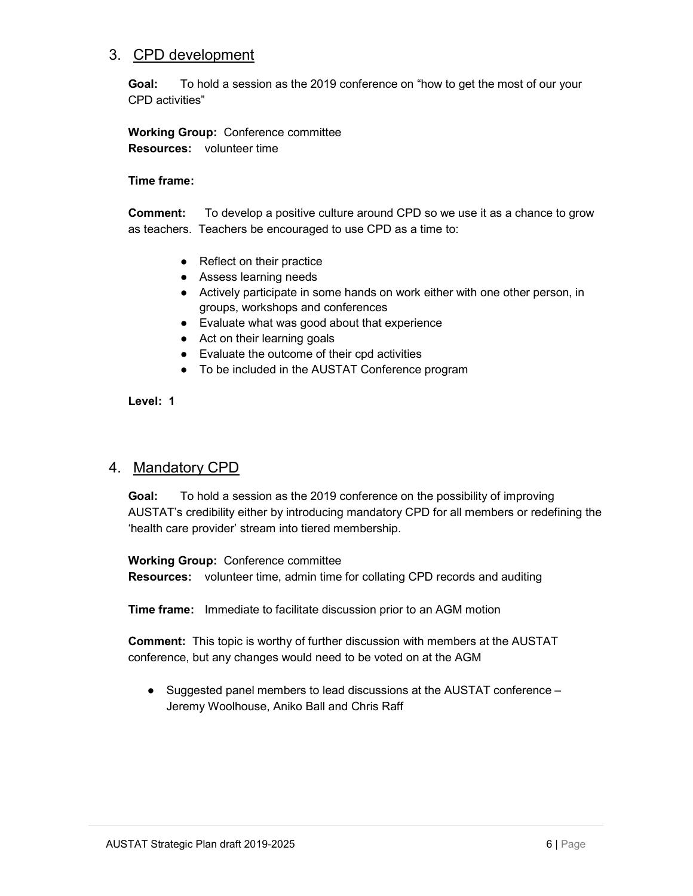#### 3. CPD development

Goal: To hold a session as the 2019 conference on "how to get the most of our your CPD activities"

#### Working Group: Conference committee Resources: volunteer time

#### Time frame:

Comment: To develop a positive culture around CPD so we use it as a chance to grow as teachers. Teachers be encouraged to use CPD as a time to:

- Reflect on their practice
- Assess learning needs
- Actively participate in some hands on work either with one other person, in groups, workshops and conferences
- Evaluate what was good about that experience
- Act on their learning goals
- Evaluate the outcome of their cpd activities
- To be included in the AUSTAT Conference program

Level: 1

#### 4. Mandatory CPD

Goal: To hold a session as the 2019 conference on the possibility of improving AUSTAT's credibility either by introducing mandatory CPD for all members or redefining the 'health care provider' stream into tiered membership.

#### Working Group: Conference committee

Resources: volunteer time, admin time for collating CPD records and auditing

Time frame: Immediate to facilitate discussion prior to an AGM motion

Comment: This topic is worthy of further discussion with members at the AUSTAT conference, but any changes would need to be voted on at the AGM

● Suggested panel members to lead discussions at the AUSTAT conference – Jeremy Woolhouse, Aniko Ball and Chris Raff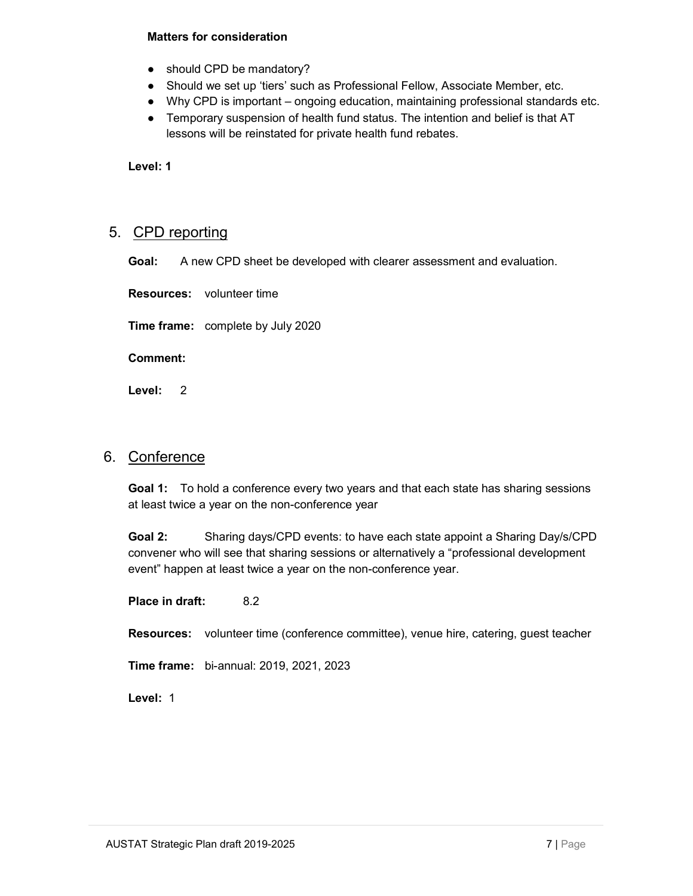#### Matters for consideration

- should CPD be mandatory?
- Should we set up 'tiers' such as Professional Fellow, Associate Member, etc.
- Why CPD is important ongoing education, maintaining professional standards etc.
- Temporary suspension of health fund status. The intention and belief is that AT lessons will be reinstated for private health fund rebates.

Level: 1

#### 5. CPD reporting

Goal: A new CPD sheet be developed with clearer assessment and evaluation.

Resources: volunteer time

Time frame: complete by July 2020

Comment:

Level: 2

#### 6. Conference

Goal 1: To hold a conference every two years and that each state has sharing sessions at least twice a year on the non-conference year

Goal 2: Sharing days/CPD events: to have each state appoint a Sharing Day/s/CPD convener who will see that sharing sessions or alternatively a "professional development event" happen at least twice a year on the non-conference year.

Place in draft: 8.2

Resources: volunteer time (conference committee), venue hire, catering, guest teacher

Time frame: bi-annual: 2019, 2021, 2023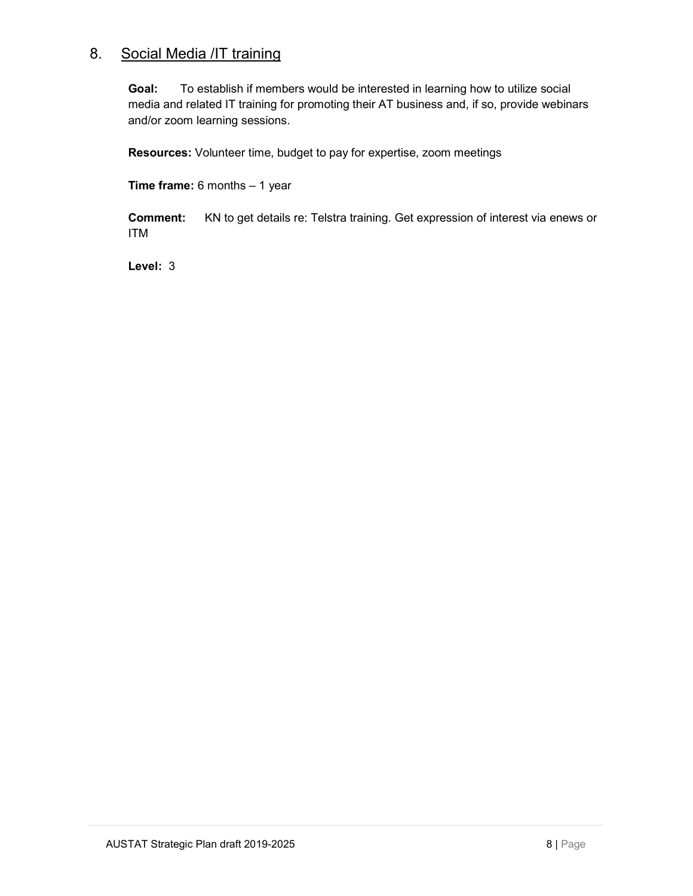#### 8. Social Media / IT training

Goal: To establish if members would be interested in learning how to utilize social media and related IT training for promoting their AT business and, if so, provide webinars and/or zoom learning sessions.

Resources: Volunteer time, budget to pay for expertise, zoom meetings

Time frame: 6 months – 1 year

Comment: KN to get details re: Telstra training. Get expression of interest via enews or ITM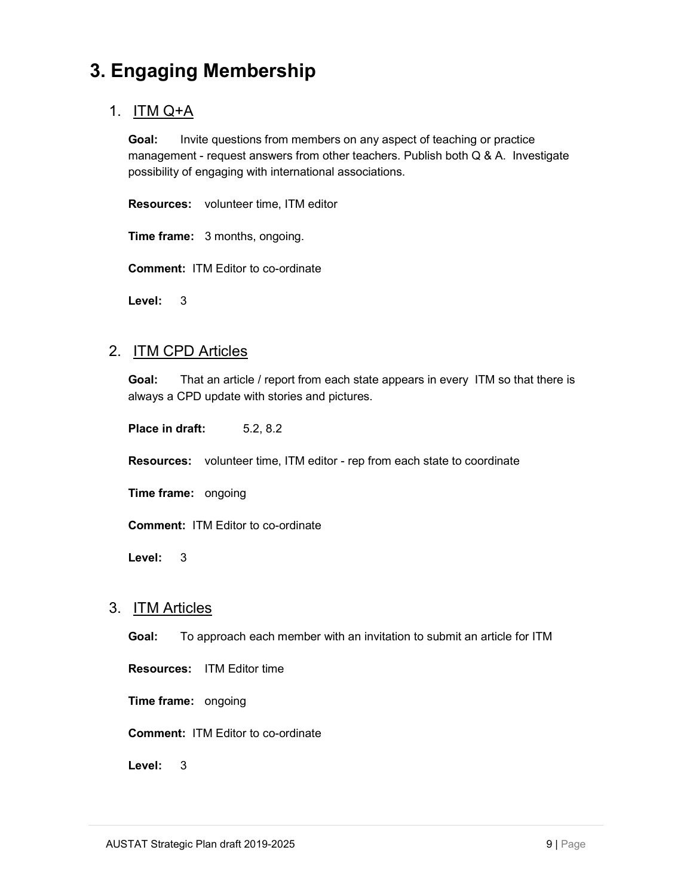## 3. Engaging Membership

### 1. ITM Q+A

Goal: Invite questions from members on any aspect of teaching or practice management - request answers from other teachers. Publish both Q & A. Investigate possibility of engaging with international associations.

Resources: volunteer time, ITM editor

Time frame: 3 months, ongoing.

Comment: ITM Editor to co-ordinate

Level: 3

#### 2. ITM CPD Articles

Goal: That an article / report from each state appears in every ITM so that there is always a CPD update with stories and pictures.

Place in draft: 5.2, 8.2

Resources: volunteer time, ITM editor - rep from each state to coordinate

Time frame: ongoing

Comment: ITM Editor to co-ordinate

Level: 3

#### 3. ITM Articles

Goal: To approach each member with an invitation to submit an article for ITM

Resources: ITM Editor time

Time frame: ongoing

Comment: ITM Editor to co-ordinate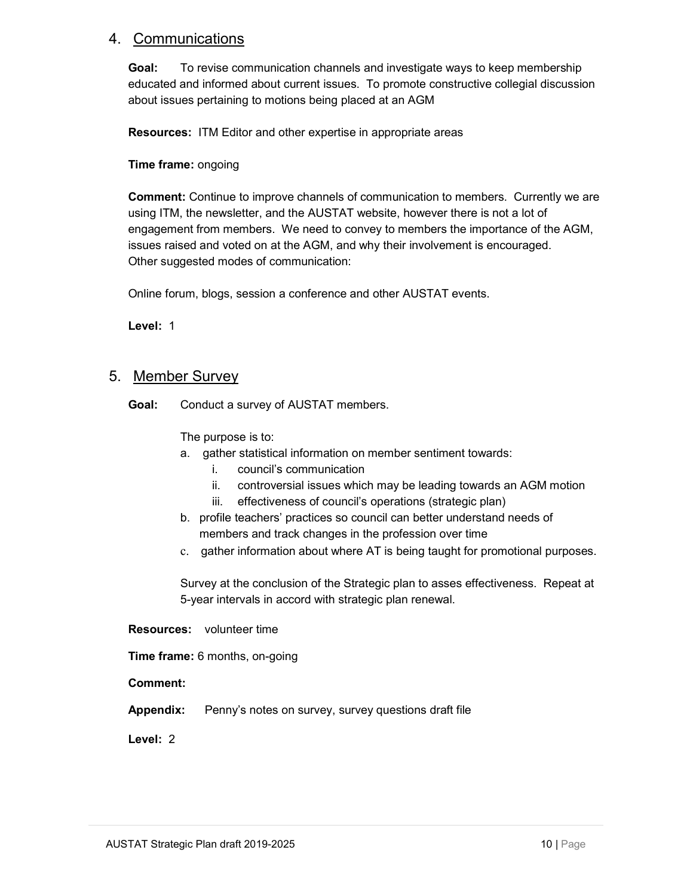#### 4. Communications

Goal: To revise communication channels and investigate ways to keep membership educated and informed about current issues. To promote constructive collegial discussion about issues pertaining to motions being placed at an AGM

Resources: ITM Editor and other expertise in appropriate areas

#### Time frame: ongoing

Comment: Continue to improve channels of communication to members. Currently we are using ITM, the newsletter, and the AUSTAT website, however there is not a lot of engagement from members. We need to convey to members the importance of the AGM, issues raised and voted on at the AGM, and why their involvement is encouraged. Other suggested modes of communication:

Online forum, blogs, session a conference and other AUSTAT events.

Level: 1

#### 5. Member Survey

Goal: Conduct a survey of AUSTAT members.

The purpose is to:

- a. gather statistical information on member sentiment towards:
	- i. council's communication
	- ii. controversial issues which may be leading towards an AGM motion
	- iii. effectiveness of council's operations (strategic plan)
- b. profile teachers' practices so council can better understand needs of members and track changes in the profession over time
- c. gather information about where AT is being taught for promotional purposes.

Survey at the conclusion of the Strategic plan to asses effectiveness. Repeat at 5-year intervals in accord with strategic plan renewal.

Resources: volunteer time

Time frame: 6 months, on-going

Comment:

Appendix: Penny's notes on survey, survey questions draft file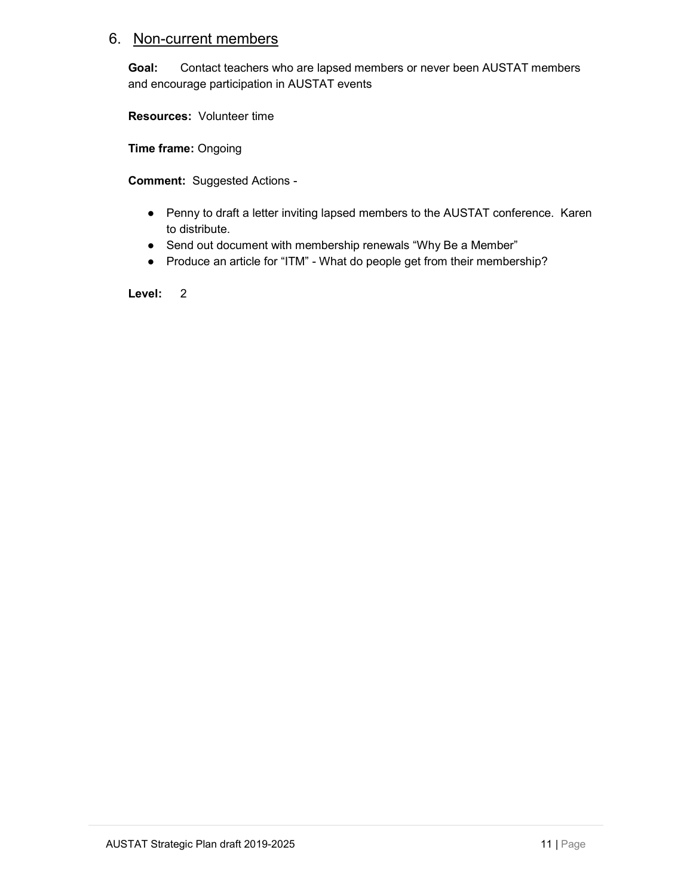#### 6. Non-current members

Goal: Contact teachers who are lapsed members or never been AUSTAT members and encourage participation in AUSTAT events

Resources: Volunteer time

Time frame: Ongoing

Comment: Suggested Actions -

- Penny to draft a letter inviting lapsed members to the AUSTAT conference. Karen to distribute.
- Send out document with membership renewals "Why Be a Member"
- Produce an article for "ITM" What do people get from their membership?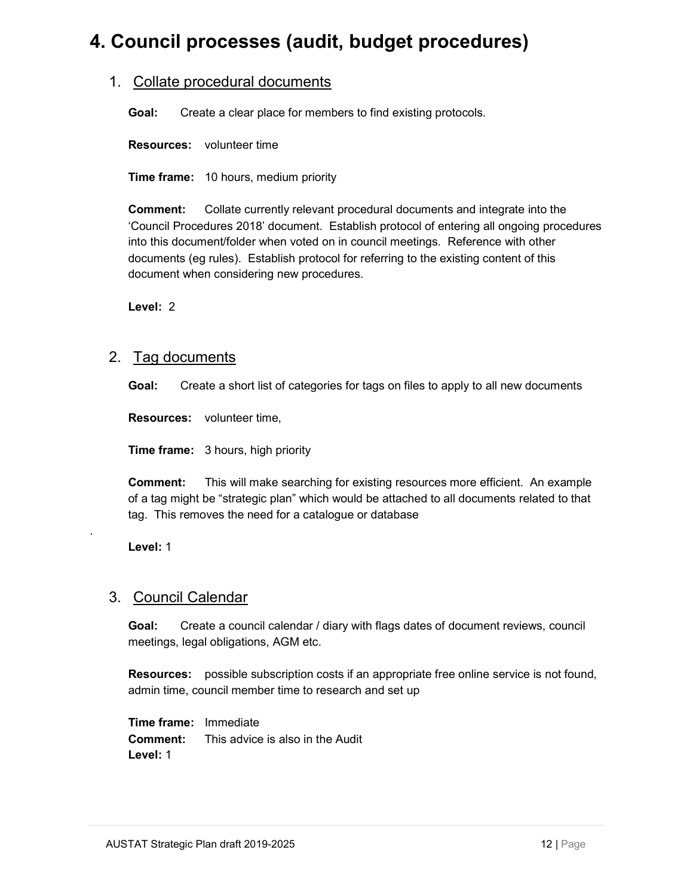## 4. Council processes (audit, budget procedures)

#### 1. Collate procedural documents

Goal: Create a clear place for members to find existing protocols.

Resources: volunteer time

**Time frame:** 10 hours, medium priority

Comment: Collate currently relevant procedural documents and integrate into the 'Council Procedures 2018' document. Establish protocol of entering all ongoing procedures into this document/folder when voted on in council meetings. Reference with other documents (eg rules). Establish protocol for referring to the existing content of this document when considering new procedures.

Level: 2

#### 2. Tag documents

Goal: Create a short list of categories for tags on files to apply to all new documents

Resources: volunteer time,

Time frame: 3 hours, high priority

Comment: This will make searching for existing resources more efficient. An example of a tag might be "strategic plan" which would be attached to all documents related to that tag. This removes the need for a catalogue or database

Level: 1

.

#### 3. Council Calendar

Goal: Create a council calendar / diary with flags dates of document reviews, council meetings, legal obligations, AGM etc.

Resources: possible subscription costs if an appropriate free online service is not found, admin time, council member time to research and set up

Time frame: Immediate Comment: This advice is also in the Audit Level: 1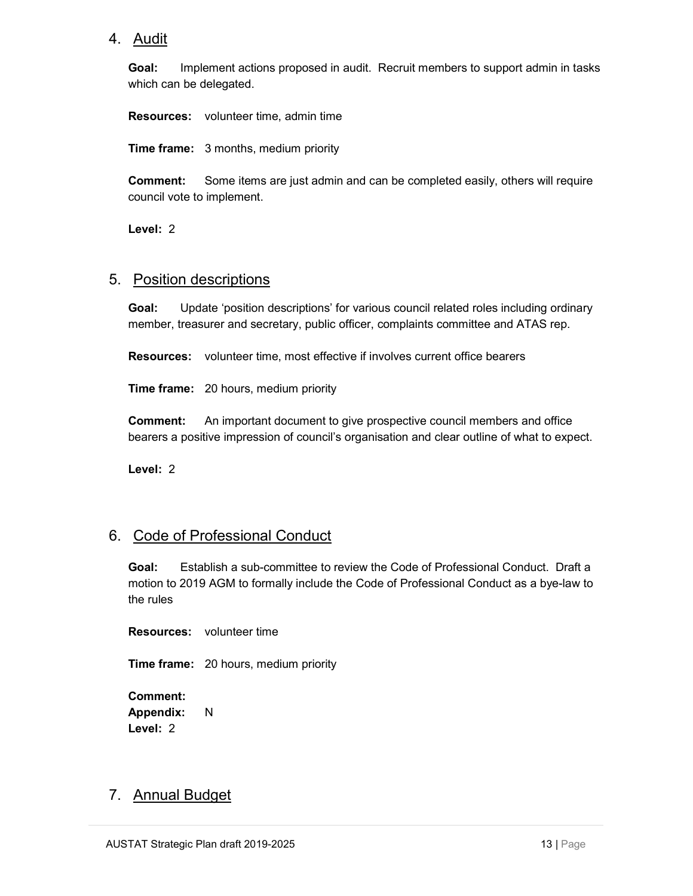#### 4. Audit

Goal: Implement actions proposed in audit. Recruit members to support admin in tasks which can be delegated.

Resources: volunteer time, admin time

**Time frame:** 3 months, medium priority

Comment: Some items are just admin and can be completed easily, others will require council vote to implement.

Level: 2

#### 5. Position descriptions

Goal: Update 'position descriptions' for various council related roles including ordinary member, treasurer and secretary, public officer, complaints committee and ATAS rep.

Resources: volunteer time, most effective if involves current office bearers

**Time frame:** 20 hours, medium priority

Comment: An important document to give prospective council members and office bearers a positive impression of council's organisation and clear outline of what to expect.

Level: 2

#### 6. Code of Professional Conduct

Goal: Establish a sub-committee to review the Code of Professional Conduct. Draft a motion to 2019 AGM to formally include the Code of Professional Conduct as a bye-law to the rules

Resources: volunteer time

**Time frame:** 20 hours, medium priority

Comment: Appendix: N Level: 2

#### 7. Annual Budget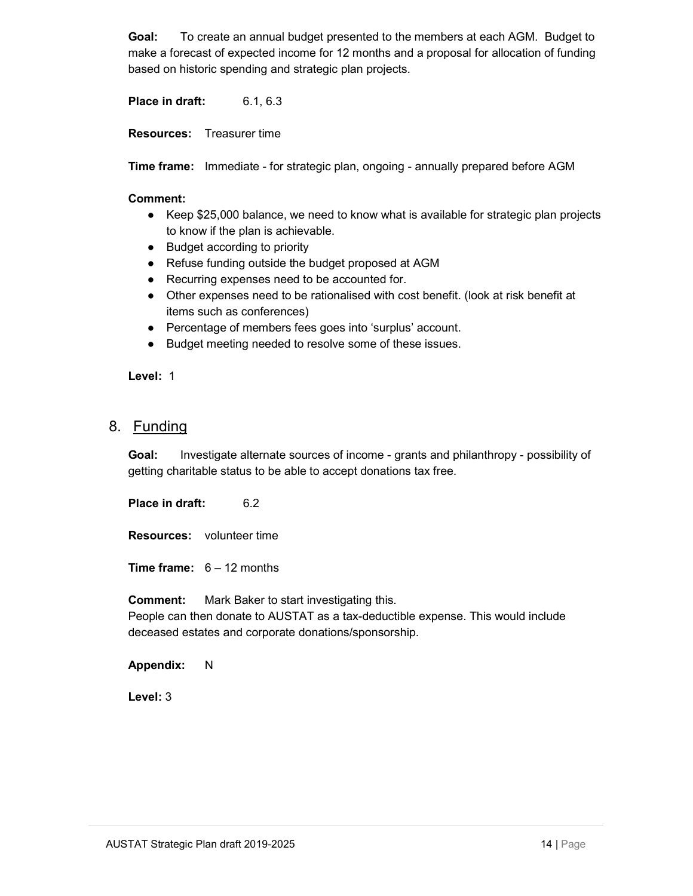Goal: To create an annual budget presented to the members at each AGM. Budget to make a forecast of expected income for 12 months and a proposal for allocation of funding based on historic spending and strategic plan projects.

Place in draft: 6.1, 6.3

Resources: Treasurer time

**Time frame:** Immediate - for strategic plan, ongoing - annually prepared before AGM

#### Comment:

- Keep \$25,000 balance, we need to know what is available for strategic plan projects to know if the plan is achievable.
- Budget according to priority
- Refuse funding outside the budget proposed at AGM
- Recurring expenses need to be accounted for.
- Other expenses need to be rationalised with cost benefit. (look at risk benefit at items such as conferences)
- Percentage of members fees goes into 'surplus' account.
- Budget meeting needed to resolve some of these issues.

Level: 1

#### 8. Funding

Goal: Investigate alternate sources of income - grants and philanthropy - possibility of getting charitable status to be able to accept donations tax free.

Place in draft: 6.2

Resources: volunteer time

**Time frame:**  $6 - 12$  months

Comment: Mark Baker to start investigating this. People can then donate to AUSTAT as a tax-deductible expense. This would include deceased estates and corporate donations/sponsorship.

Appendix: N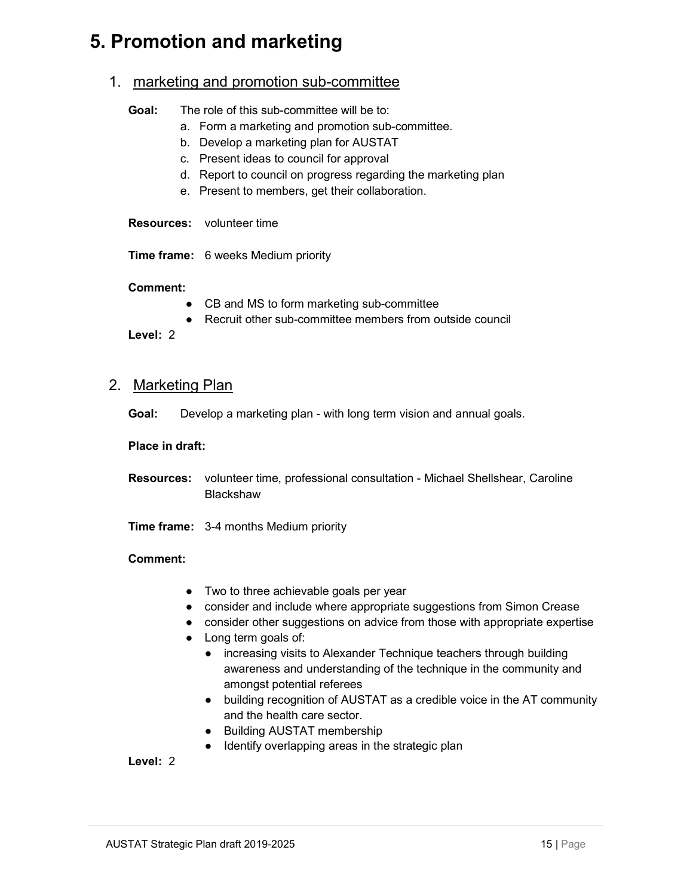### 5. Promotion and marketing

#### 1. marketing and promotion sub-committee

| Goal: | The role of this sub-committee will be to:       |
|-------|--------------------------------------------------|
|       | a. Form a marketing and promotion sub-committee. |
|       | b. Develop a marketing plan for AUSTAT           |

- c. Present ideas to council for approval
- d. Report to council on progress regarding the marketing plan
- e. Present to members, get their collaboration.

Resources: volunteer time

Time frame: 6 weeks Medium priority

#### Comment:

- CB and MS to form marketing sub-committee
- Recruit other sub-committee members from outside council

Level: 2

#### 2. Marketing Plan

Goal: Develop a marketing plan - with long term vision and annual goals.

#### Place in draft:

- Resources: volunteer time, professional consultation Michael Shellshear, Caroline Blackshaw
- Time frame: 3-4 months Medium priority

- **Comment:**<br>■ Two to three achievable goals per year
	- consider and include where appropriate suggestions from Simon Crease
	- consider other suggestions on advice from those with appropriate expertise
	- Long term goals of:
		- increasing visits to Alexander Technique teachers through building awareness and understanding of the technique in the community and amongst potential referees
		- building recognition of AUSTAT as a credible voice in the AT community and the health care sector.
		- Building AUSTAT membership
		- Identify overlapping areas in the strategic plan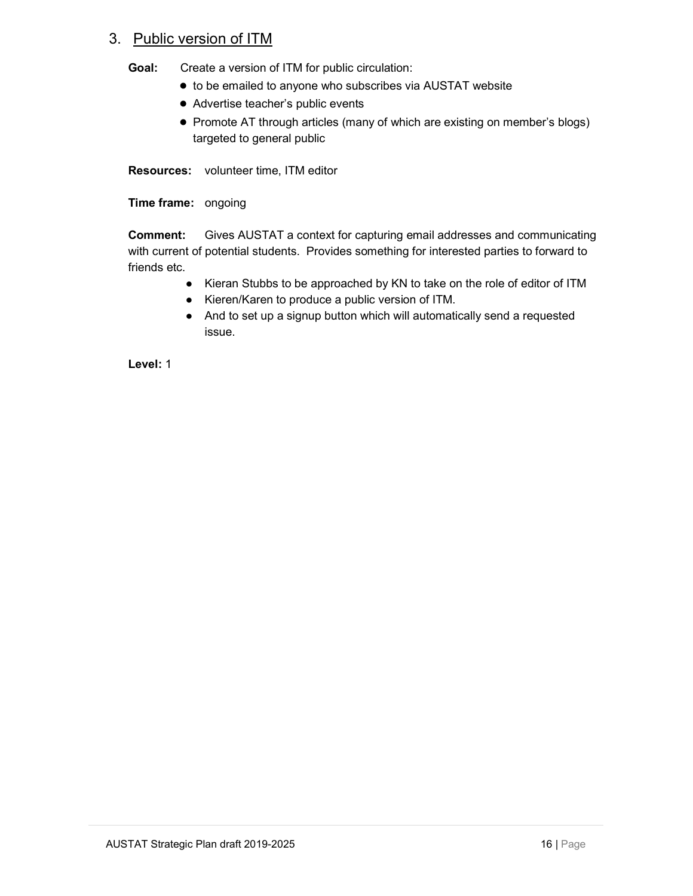#### 3. Public version of ITM

Goal: Create a version of ITM for public circulation:

- to be emailed to anyone who subscribes via AUSTAT website
- Advertise teacher's public events
- Promote AT through articles (many of which are existing on member's blogs) targeted to general public

Resources: volunteer time, ITM editor

Time frame: ongoing

Comment: Gives AUSTAT a context for capturing email addresses and communicating with current of potential students. Provides something for interested parties to forward to friends etc.

- Kieran Stubbs to be approached by KN to take on the role of editor of ITM
- Kieren/Karen to produce a public version of ITM.
- And to set up a signup button which will automatically send a requested issue.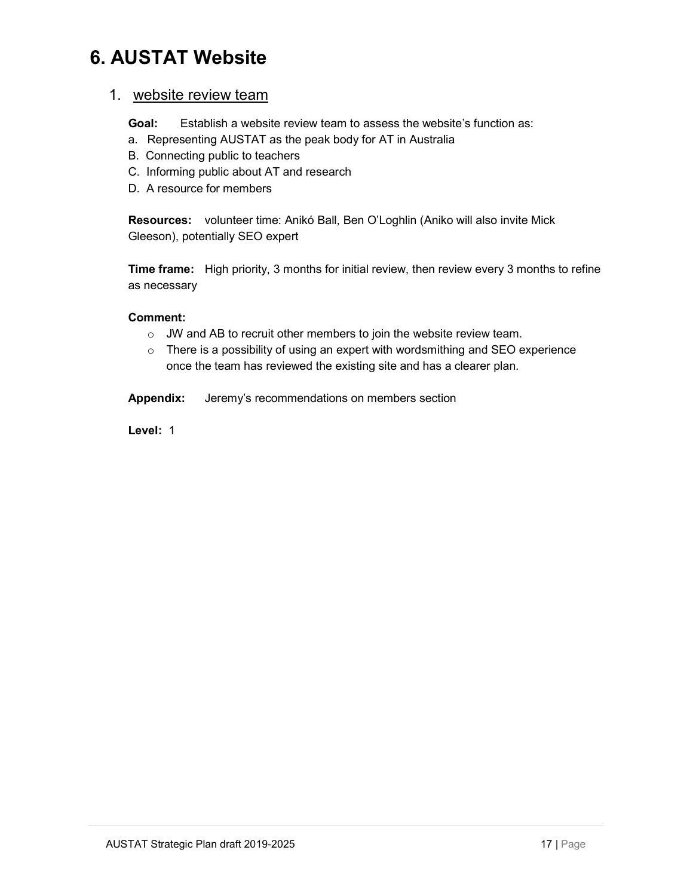## 6. AUSTAT Website

#### 1. website review team

Goal: Establish a website review team to assess the website's function as:

- a. Representing AUSTAT as the peak body for AT in Australia
- B. Connecting public to teachers
- C. Informing public about AT and research
- D. A resource for members

Resources: volunteer time: Anikó Ball, Ben O'Loghlin (Aniko will also invite Mick Gleeson), potentially SEO expert

Time frame: High priority, 3 months for initial review, then review every 3 months to refine as necessary

#### Comment:

- o JW and AB to recruit other members to join the website review team.
- $\circ$  There is a possibility of using an expert with wordsmithing and SEO experience once the team has reviewed the existing site and has a clearer plan.
- Appendix: Jeremy's recommendations on members section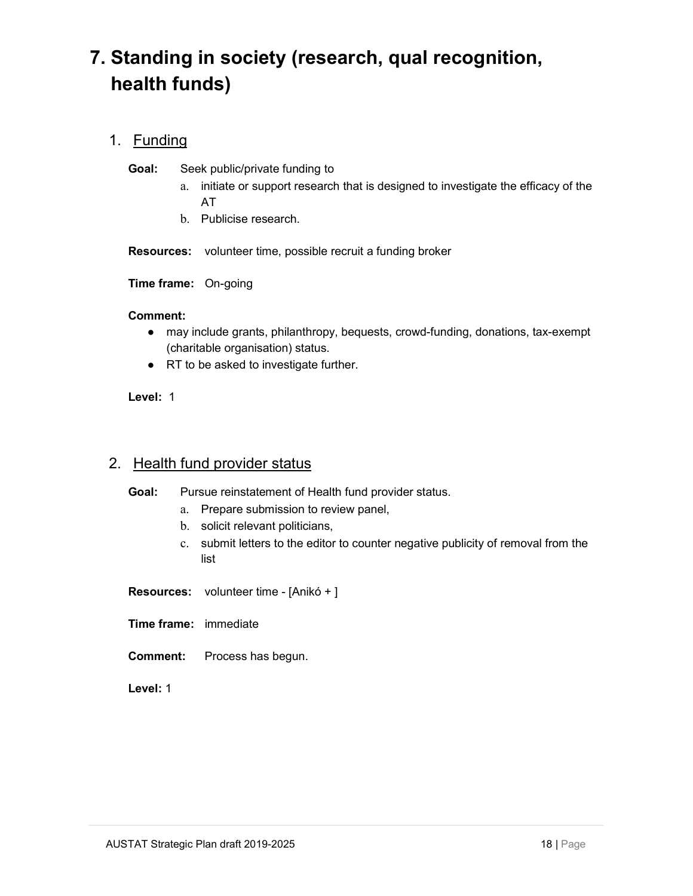## 7. Standing in society (research, qual recognition, health funds)

#### 1. Funding

Goal: Seek public/private funding to

- a. initiate or support research that is designed to investigate the efficacy of the AT
- b. Publicise research.

Resources: volunteer time, possible recruit a funding broker

Time frame: On-going

#### Comment:

- may include grants, philanthropy, bequests, crowd-funding, donations, tax-exempt (charitable organisation) status.
- RT to be asked to investigate further.

#### Level: 1

#### 2. Health fund provider status

Goal: Pursue reinstatement of Health fund provider status.

- a. Prepare submission to review panel,
- b. solicit relevant politicians,
- c. submit letters to the editor to counter negative publicity of removal from the list
- Resources: volunteer time [Anikó + ]
- Time frame: immediate
- Comment: Process has begun.